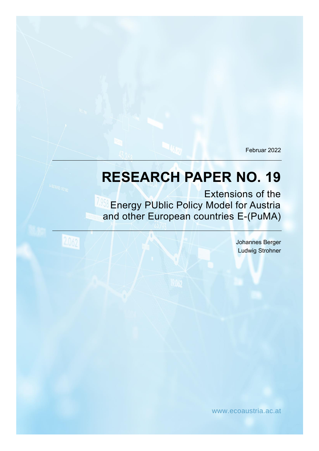Februar 2022

# **RESEARCH PAPER NO. 19**

Extensions of the **Energy PUblic Policy Model for Austria** and other European countries E-(PuMA)

2062

Johannes Berger Ludwig Strohner

www.ecoaustria.ac.at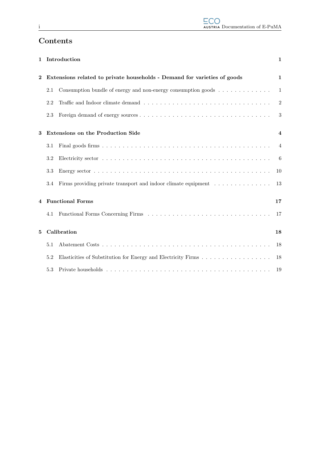### Contents

| 1                  |                                                                          | Introduction                                                                                   | $\mathbf 1$    |  |  |  |  |  |
|--------------------|--------------------------------------------------------------------------|------------------------------------------------------------------------------------------------|----------------|--|--|--|--|--|
| $\bf{2}$           | Extensions related to private households - Demand for varieties of goods |                                                                                                |                |  |  |  |  |  |
|                    | 2.1                                                                      | Consumption bundle of energy and non-energy consumption goods $\dots \dots \dots \dots$        | $\mathbf{1}$   |  |  |  |  |  |
|                    | 2.2                                                                      |                                                                                                | $\overline{2}$ |  |  |  |  |  |
|                    | 2.3                                                                      |                                                                                                | 3              |  |  |  |  |  |
| 3                  | <b>Extensions on the Production Side</b>                                 |                                                                                                |                |  |  |  |  |  |
|                    | 3.1                                                                      |                                                                                                | $\overline{4}$ |  |  |  |  |  |
|                    | 3.2                                                                      |                                                                                                | -6             |  |  |  |  |  |
|                    | 3.3                                                                      |                                                                                                | 10             |  |  |  |  |  |
|                    | 3.4                                                                      | Firms providing private transport and indoor climate equipment $\dots \dots \dots \dots \dots$ | 13             |  |  |  |  |  |
| 4 Functional Forms |                                                                          |                                                                                                |                |  |  |  |  |  |
|                    | 4.1                                                                      |                                                                                                | 17             |  |  |  |  |  |
| 5                  | Calibration                                                              |                                                                                                |                |  |  |  |  |  |
|                    | 5.1                                                                      |                                                                                                | 18             |  |  |  |  |  |
|                    | 5.2                                                                      | Elasticities of Substitution for Energy and Electricity Firms                                  | 18             |  |  |  |  |  |
|                    | 5.3                                                                      |                                                                                                | 19             |  |  |  |  |  |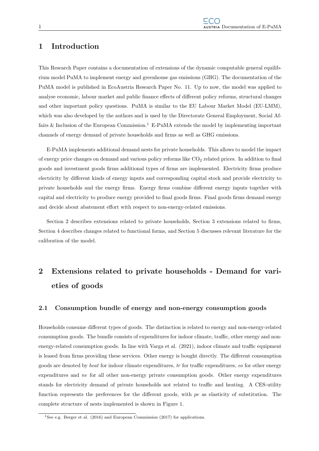### 1 Introduction

This Research Paper contains a documentation of extensions of the dynamic computable general equilibrium model PuMA to implement energy and greenhouse gas emissions (GHG). The documentation of the PuMA model is published in EcoAustria Research Paper No. 11. Up to now, the model was applied to analyse economic, labour market and public finance effects of different policy reforms, structural changes and other important policy questions. PuMA is similar to the EU Labour Market Model (EU-LMM), which was also developed by the authors and is used by the Directorate General Employment, Social Affairs & Inclusion of the European Commission.<sup>1</sup> E-PuMA extends the model by implementing important channels of energy demand of private households and firms as well as GHG emissions.

E-PuMA implements additional demand nests for private households. This allows to model the impact of energy price changes on demand and various policy reforms like  $CO<sub>2</sub>$  related prices. In addition to final goods and investment goods firms additional types of firms are implemented. Electricity firms produce electricity by different kinds of energy inputs and corresponding capital stock and provide electricity to private households and the energy firms. Energy firms combine different energy inputs together with capital and electricity to produce energy provided to final goods firms. Final goods firms demand energy and decide about abatement effort with respect to non-energy-related emissions.

Section 2 describes extensions related to private households, Section 3 extensions related to firms, Section 4 describes changes related to functional forms, and Section 5 discusses relevant literature for the calibration of the model.

## 2 Extensions related to private households - Demand for varieties of goods

### 2.1 Consumption bundle of energy and non-energy consumption goods

Households consume different types of goods. The distinction is related to energy and non-energy-related consumption goods. The bundle consists of expenditures for indoor climate, traffic, other energy and nonenergy-related consumption goods. In line with Varga et al. (2021), indoor climate and traffic equipment is leased from firms providing these services. Other energy is bought directly. The different consumption goods are denoted by heat for indoor climate expenditures, tr for traffic expenditures, eo for other energy expenditures and ne for all other non-energy private consumption goods. Other energy expenditures stands for electricity demand of private households not related to traffic and heating. A CES-utility function represents the preferences for the different goods, with pe as elasticity of substitution. The complete structure of nests implemented is shown in Figure 1.

<sup>&</sup>lt;sup>1</sup>See e.g. Berger et al. (2016) and European Commission (2017) for applications.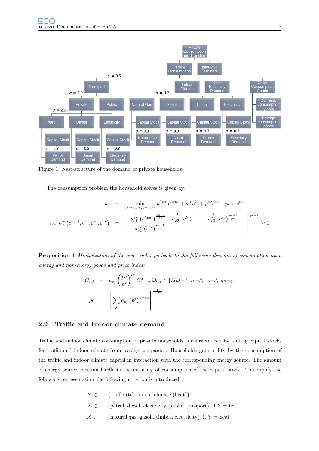

Figure 1: Nest-structure of the demand of private households

The consumption problem the household solves is given by:

$$
pc = \min_{\substack{c^{heat}, c^{tr}, c^{eo}, c^{ne} \\ c^{het} \neq c^{het}}} p^{heat} c^{heat} + p^{tr} c^{tr} + p^{eo} c^{eo} + p c c \cdot c^{ne}
$$
  
s.t.  $U_t^e \left( c^{heat}, c^{tr}, c^{eo}, c^{ne} \right) = \begin{bmatrix} a_{e1}^{\frac{1}{pe}} \left( c^{heat} \right)^{\frac{pe-1}{pe}} + a_{e2}^{\frac{1}{pe}} \left( c^{tr} \right)^{\frac{pe-1}{pe}} + a_{e3}^{\frac{1}{pe}} \left( c^{eo} \right)^{\frac{pe-1}{pe}} + \begin{bmatrix} \frac{pe}{pe-1} \\ + a_{e4}^{\frac{1}{pe}} \left( c^{ne} \right)^{\frac{pe-1}{pe}} \end{bmatrix} \ge 1.$ 

Proposition 1 Minimization of the price index pc leads to the following division of consumption upon energy and non-energy goods and price index:

$$
C_{e,j} = a_{ej} \left(\frac{pc}{p^j}\right)^{pe} C^a, \text{ with } j \in \{\text{heat=1, tr=2, eo=3, ne=4}\}\
$$
  

$$
pc = \left[\sum_j a_{ej} (p^j)^{1-pe}\right]^{1-pe}.
$$

#### 2.2 Traffic and Indoor climate demand

Traffic and indoor climate consumption of private households is characterized by renting capital stocks for traffic and indoor climate from leasing companies. Households gain utility by the consumption of the traffic and indoor climate capital in interaction with the corresponding energy source. The amount of energy source consumed reflects the intensity of consumption of the capital stock. To simplify the following representation the following notation is introduced:

- $Y \in \{ \text{ traffic (tr), indoor climate (heat)} \}$
- $X \in \{$  [petrol, diesel, electricity, public transport] if Y = tr
- $X \in \{$  [natural gas, gasoil, timber, electricity] if Y = heat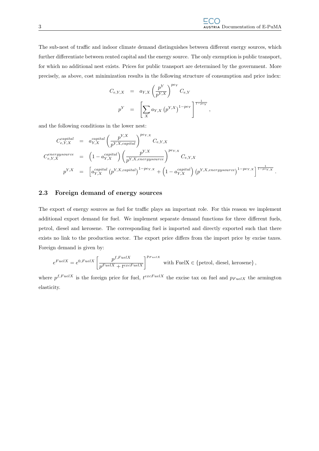The sub-nest of traffic and indoor climate demand distinguishes between different energy sources, which further differentiate between rented capital and the energy source. The only exemption is public transport, for which no additional nest exists. Prices for public transport are determined by the government. More precisely, as above, cost minimization results in the following structure of consumption and price index:

$$
C_{e,Y,X} = a_{Y,X} \left(\frac{p^Y}{p^{Y,X}}\right)^{p_{e_Y}} C_{e,Y}
$$
  

$$
p^Y = \left[\sum_X a_{Y,X} (p^{Y,X})^{1-p_{e_Y}}\right]^{\frac{1}{1-p_{e_Y}}},
$$

and the following conditions in the lower nest:

$$
C_{e,Y,X}^{capital} = a_{Y,X}^{capital} \left(\frac{p^{Y,X}}{p^{Y,X,capital}}\right)^{pe_{Y,X}} C_{e,Y,X}
$$
\n
$$
C_{e,Y,X}^{energysource} = \left(1 - a_{Y,X}^{capital}\right) \left(\frac{p^{Y,X}}{p^{Y,X,energysource}}\right)^{pe_{Y,X}} C_{e,Y,X}
$$
\n
$$
p^{Y,X} = \left[a_{Y,X}^{capital} \left(p^{Y,X,capital}\right)^{1-pe_{Y,X}} + \left(1 - a_{Y,X}^{capital}\right) \left(p^{Y,X,energysource}\right)^{1-pe_{Y,X}}\right]^{\frac{1}{1-pe_{Y,X}}}.
$$

### 2.3 Foreign demand of energy sources

The export of energy sources as fuel for traffic plays an important role. For this reason we implement additional export demand for fuel. We implement separate demand functions for three different fuels, petrol, diesel and kerosene. The corresponding fuel is imported and directly exported such that there exists no link to the production sector. The export price differs from the import price by excise taxes. Foreign demand is given by:

$$
e^{FuelX} = e^{0, FuelX} \left[ \frac{p^{f, FuelX}}{p^{FuelX} + t^{excFuelX}} \right]^{p_{FuelX}} \text{ with FuelX } \in \{\text{petrol, diesel, kerosene}\}\,,
$$

where  $p^{f, FuelX}$  is the foreign price for fuel,  $t^{excFuelX}$  the excise tax on fuel and  $p_{FuelX}$  the armington elasticity.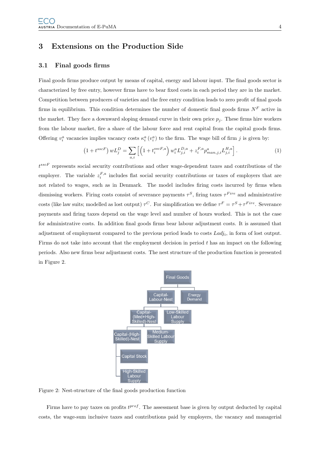### 3 Extensions on the Production Side

### 3.1 Final goods firms

Final goods firms produce output by means of capital, energy and labour input. The final goods sector is characterized by free entry, however firms have to bear fixed costs in each period they are in the market. Competition between producers of varieties and the free entry condition leads to zero profit of final goods firms in equilibrium. This condition determines the number of domestic final goods firms  $N^F$  active in the market. They face a downward sloping demand curve in their own price  $p_j$ . These firms hire workers from the labour market, fire a share of the labour force and rent capital from the capital goods firms. Offering  $v_i^a$  vacancies implies vacancy costs  $\kappa_i^a(v_i^a)$  to the firm. The wage bill of firm j is given by:

$$
(1 + t^{sscF}) wL_j^D = \sum_{a,i} \left[ \left( 1 + t_i^{sscF,a} \right) w_i^a L_{j,i}^{D,a} + z_i^{F,a} p_{man,j,i}^a L_{j,i}^{H,a} \right].
$$
 (1)

 $t^{sscF}$  represents social security contributions and other wage-dependent taxes and contributions of the employer. The variable  $z_i^{F,a}$  includes flat social security contributions or taxes of employers that are not related to wages, such as in Denmark. The model includes firing costs incurred by firms when dismissing workers. Firing costs consist of severance payments  $\tau^S$ , firing taxes  $\tau^{Fire}$  and administrative costs (like law suits; modelled as lost output)  $\tau^C$ . For simplification we define  $\tau^F = \tau^S + \tau^{Fire}$ . Severance payments and firing taxes depend on the wage level and number of hours worked. This is not the case for administrative costs. In addition final goods firms bear labour adjustment costs. It is assumed that adjustment of employment compared to the previous period leads to costs  $Ladj_i$ , in form of lost output. Firms do not take into account that the employment decision in period  $t$  has an impact on the following periods. Also new firms bear adjustment costs. The nest structure of the production function is presented in Figure 2.



Figure 2: Nest-structure of the final goods production function

Firms have to pay taxes on profits  $t^{prof}$ . The assessment base is given by output deducted by capital costs, the wage-sum inclusive taxes and contributions paid by employers, the vacancy and managerial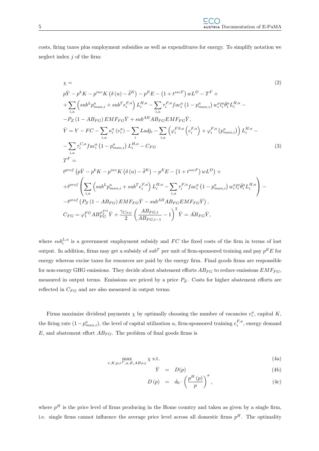costs, firing taxes plus employment subsidies as well as expenditures for energy. To simplify notation we neglect index  $j$  of the firm:

$$
\chi = (2)
$$
\n
$$
p\bar{Y} - p^{k}K - p^{inv}K(\delta(u) - \bar{\delta}^{K}) - p^{E}E - (1 + t^{ssc}v)wL^{D} - T^{F} +
$$
\n
$$
+ \sum_{i,a} \left( sub^{L}p_{man,i}^{a} + sub^{T}e_{i}^{F,a} \right) L_{i}^{H,a} - \sum_{i,a} \tau_{i}^{F,a}fac_{i}^{a} (1 - p_{man,i}^{a}) w_{i}^{a}l_{i}^{a} \bar{\theta}_{i}^{a}L_{i}^{H,a} -
$$
\n
$$
-P_{Z} (1 - AB_{FG}) EMF_{FG}\bar{Y} + sub^{AB} AB_{FG}EMF_{FG}\bar{Y},
$$
\n
$$
\bar{Y} = Y - FC - \sum_{i,a} \kappa_{i}^{a} (v_{i}^{a}) - \sum_{i} Ladj_{i} - \sum_{i,a} \left( \varphi_{i}^{FS,a} \left( e_{i}^{F,a} \right) + \varphi_{i}^{F,a} \left( p_{man,i}^{a} \right) \right) L_{i}^{H,a} -
$$
\n
$$
- \sum_{i,a} \tau_{i}^{C,a} fac_{i}^{a} (1 - p_{man,i}^{a}) L_{i}^{H,a} - C_{FG}
$$
\n
$$
T^{F} =
$$
\n
$$
t^{prof} (p\bar{Y} - p^{k}K - p^{inv}K(\delta(u) - \bar{\delta}^{K}) - p^{E}E - (1 + t^{sscF})wL^{D}) +
$$
\n
$$
+ t^{prof} \left( \sum_{i,a} \left( sub^{L}p_{man,i}^{a} + sub^{T}e_{i}^{F,a} \right) L_{i}^{H,a} - \sum_{i,a} \tau_{i}^{F,a} fac_{i}^{a} (1 - p_{man,i}^{a}) w_{i}^{a}l_{i}^{a} \bar{\theta}_{i}^{a} L_{i}^{H,a} \right) -
$$
\n
$$
- t^{prof} (P_{Z} (1 - AB_{FG}) EMF_{FG}\bar{Y} - sub^{AB}AB_{FG}EMF_{FG}\bar{Y}),
$$
\n
$$
C_{FG} = \varphi_{i}^{FG} AB_{FG}^{FG} \bar{Y} + \frac{\gamma_{C_{FG}}}{2} \left( \frac{AB_{FG, t}}{AB_{
$$

where  $sub_i^{L,a}$  is a government employment subsidy and  $FC$  the fixed costs of the firm in terms of lost output. In addition, firms may get a subsidy of  $sub<sup>T</sup>$  per unit of firm-sponsored training and pay  $p^{E}E$  for energy whereas excise taxes for resources are paid by the energy firm. Final goods firms are responsible for non-energy GHG emissions. They decide about abatement efforts  $AB_{FG}$  to reduce emissions  $EMF_{FG}$ , measured in output terms. Emissions are priced by a price  $P_Z$ . Costs for higher abatement efforts are reflected in  $C_{FG}$  and are also measured in output terms.

Firms maximize dividend payments  $\chi$  by optimally choosing the number of vacancies  $v_i^a$ , capital K, the firing rate  $(1-p_{man,i}^a)$ , the level of capital utilization u, firm-sponsored training  $e_i^{F,a}$ , energy demand  $E$ , and abatement effort  $AB_{FG}$ . The problem of final goods firms is

$$
\max_{v,K,p,e^F,u,E,AB_{FG}} \chi \text{ s.t. } \tag{4a}
$$

$$
\bar{Y} = D(p) \tag{4b}
$$

$$
D(p) = d_0 \cdot \left(\frac{p^H(p)}{p}\right)^{\sigma}, \qquad (4c)
$$

where  $p<sup>H</sup>$  is the price level of firms producing in the Home country and taken as given by a single firm, i.e. single firms cannot influence the average price level across all domestic firms  $p<sup>H</sup>$ . The optimality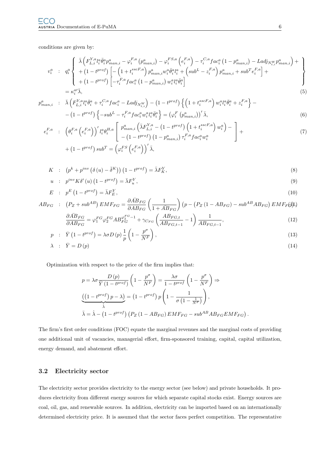conditions are given by:

$$
v_{i}^{a} : q_{i}^{a} \left\{ \begin{array}{l} \bar{\lambda} \left( F_{L,i}^{Y,a} l_{i}^{a} \bar{\theta}_{i}^{a} p_{man,i}^{a} - \varphi_{i}^{F,a} \left( p_{man,i}^{a} \right) - \varphi_{i}^{F,S,a} \left( e_{i}^{F,a} \right) - \tau_{i}^{C,a} f a c_{i}^{a} \left( 1 - p_{man,i}^{a} \right) - L a d j_{N_{t,i}^{W}} p_{man,i}^{a} \right) + \\ + \left( 1 - t^{prof} \right) \left[ - \left( 1 + t_{i}^{sscF,a} \right) p_{man,i}^{a} w_{i}^{a} \bar{\theta}_{i}^{a} l_{i}^{a} + \left( sub^{L} - z_{i}^{F,a} \right) p_{man,i}^{a} + sub^{T} e_{i}^{F,a} \right] + \\ + \left( 1 - t^{prof} \right) \left[ - \tau_{i}^{F,a} f a c_{i}^{a} \left( 1 - p_{man,i}^{a} \right) w_{i}^{a} l_{i}^{a} \bar{\theta}_{i}^{a} \right] \end{array} \right\}
$$
\n
$$
= \kappa_{i}^{a \prime} \bar{\lambda}, \tag{5}
$$

$$
p_{man,i}^a: \bar{\lambda}\left(F_{L,i}^{Y,a}l_i^a \bar{\theta}_i^a + \tau_i^{C,a}fac_i^a - Ladj_{N_{t,i}^W}\right) - \left(1 - t^{prof}\right) \left\{ \left(1 + t_i^{ssc,R,a}\right) w_i^a l_i^a \bar{\theta}_i^a + z_i^{F,a} \right\} - \left(1 - t^{prof}\right) \left\{ -sub^L - \tau_i^{F,a} fac_i^a w_i^a l_i^a \bar{\theta}_i^a \right\} = \left(\varphi_i^F\left(p_{man,i}^a\right)'\bar{\lambda},\right)
$$
\n
$$
(6)
$$

$$
e_i^{F,a} \quad : \quad \left(\theta_i^{F,a} \left(e_i^{F,a}\right)\right)' l_i^a \theta_i^{H,a} \left[\begin{array}{c} p_{man,i}^a \left(\bar{\lambda} F_{L,i}^{Y,a} - \left(1 - t^{prof}\right) \left(1 + t_i^{sscF,a}\right) w_i^a\right) - \\ - \left(1 - t^{prof}\right) \left(1 - p_{man,i}^a\right) \tau_i^{F,a} fac_i^a w_i^a \end{array}\right] + \\ + \left(1 - t^{prof}\right) sub^T = \left(\varphi_i^{FS} \left(e_i^{F,a}\right)\right)' \bar{\lambda}, \tag{7}
$$

$$
K : (p^k + p^{inv} (\delta(u) - \overline{\delta}^K)) (1 - t^{prof}) = \overline{\lambda} F_K^Y,
$$
\n(8)

$$
u : p^{inv} K \delta'(u) \left(1 - t^{prof}\right) = \bar{\lambda} F_u^Y,
$$
\n
$$
(9)
$$

$$
E : p^{E} (1 - t^{prof}) = \bar{\lambda} F_{E}^{Y}, \qquad (10)
$$

$$
AB_{FG} : (P_Z + sub^{AB}) E M F_{FG} = \frac{\partial \overline{AB}_{FG}}{\partial AB_{FG}} \left(\frac{1}{1 + \overline{AB}_{FG}}\right) \left(p - \left(P_Z \left(1 - AB_{FG}\right) - sub^{AB} AB_{FG}\right) E M F_F(\mathbf{J})\right)
$$

$$
\partial \overline{AB}_{FG} = \begin{bmatrix} \overline{EG} & \overline{EG} + D \mathscr{L}^{FG-1} \\ \overline{G} & \overline{AB}_{FG} & \overline{G} \end{bmatrix} \begin{bmatrix} AB_{FG} \\ AB_{FG} \\ AB_{FG} \\ AB_{FG} \end{bmatrix} = \begin{bmatrix} 1 \\ 0 \end{bmatrix} \tag{12}
$$

$$
\frac{\partial \overline{AB}_{FG}}{\partial AB_{FG}} = \varphi_1^{FG} \varphi_2^{FG} AB_{FG}^{\varphi_2^{FG}-1} + \gamma_{C_{FG}} \left( \frac{AB_{FG,t}}{AB_{FG,t-1}} - 1 \right) \frac{1}{AB_{FG,t-1}},\tag{12}
$$

$$
p : \bar{Y} \left(1 - t^{prof}\right) = \lambda \sigma D\left(p\right) \frac{1}{p} \left(1 - \frac{p^{\sigma}}{N^F}\right),\tag{13}
$$

$$
\lambda \quad : \quad \bar{Y} = D(p) \tag{14}
$$

Optimization with respect to the price of the firm implies that:

$$
p = \lambda \sigma \frac{D(p)}{\bar{Y}(1 - t^{prof})} \left(1 - \frac{p^{\sigma}}{N^F}\right) = \frac{\lambda \sigma}{1 - t^{prof}} \left(1 - \frac{p^{\sigma}}{N^F}\right) \Rightarrow
$$
  

$$
\underbrace{\left(\left(1 - t^{prof}\right)p - \lambda\right)}_{\hat{\lambda}} = \left(1 - t^{prof}\right)p \left(1 - \frac{1}{\sigma\left(1 - \frac{1}{N^F}\right)}\right),
$$
  

$$
\bar{\lambda} = \hat{\lambda} - \left(1 - t^{prof}\right)\left(P_Z\left(1 - AB_{FG}\right)EMF_{FG} - sub^{AB}AB_{FG}EMF_{FG}\right).
$$

The firm's first order conditions (FOC) equate the marginal revenues and the marginal costs of providing one additional unit of vacancies, managerial effort, firm-sponsored training, capital, capital utilization, energy demand, and abatement effort.

### 3.2 Electricity sector

The electricity sector provides electricity to the energy sector (see below) and private households. It produces electricity from different energy sources for which separate capital stocks exist. Energy sources are coal, oil, gas, and renewable sources. In addition, electricity can be imported based on an internationally determined electricity price. It is assumed that the sector faces perfect competition. The representative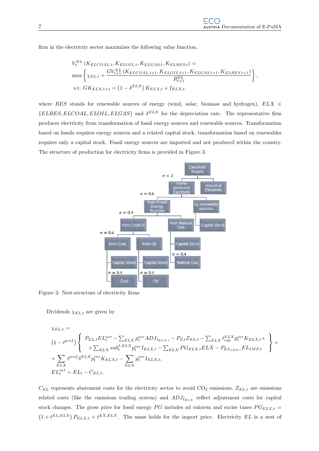firm in the electricity sector maximizes the following value function.

$$
V_t^{EL} (K_{ELCOAL,t}, K_{ELOIL,t}, K_{ELGAS,t}, K_{ELRES,t}) =
$$
  
\n
$$
\max \left\{ \chi_{EL,t} + \frac{GV_{t+1}^{EL} (K_{ELCOAL,t+1}, K_{ELOIL,t+1}, K_{ELGAS,t+1}, K_{ELRES,t+1})}{R_{t+1}^{EL}} \right\},
$$
  
\ns.t.  $GK_{ELX,t+1} = (1 - \delta^{ELX}) K_{ELX,t} + I_{ELX,t},$ 

where RES stands for renewable sources of energy (wind, solar, biomass and hydrogen),  $ELX \in$  ${ELRES, ELCOAL, ELOIL, ELGAS}$  and  $\delta^{ELX}$  for the depreciation rate. The representative firm produces electricity from transformation of fossil energy sources and renewable sources. Transformation based on fossils requires energy sources and a related capital stock, transformation based on renewables requires only a capital stock. Fossil energy sources are imported and not produced within the country. The structure of production for electricity firms is provided in Figure 3.



Figure 3: Nest-structure of electricity firms

Dividends  $\chi_{EL,t}$  are given by

$$
\chi_{EL,t} =
$$
\n
$$
(1 - t^{prof}) \left\{ \begin{array}{l} P_{EL,t}EL^{net}_{t} - \sum_{ELX} p^{inv}_{t} ADJ_{I_{ELX,t}} - P_{Z,t}Z_{EL,t} - \sum_{ELX} t^{ELX}_{cap} p^{inv}_{t} K_{ELX,t} + \\ + \sum_{ELX} s u b^{I,ELX}_{t} p^{inv}_{t} I_{ELX,t} - \sum_{ELX} PG_{ELX,t} ELX - P_{EL_{IMP,t}} EL_{IMP,t} \\ + \sum_{ELX} t^{prof} \delta^{ELX} p^{inv}_{t} K_{ELX,t} - \sum_{ELX} p^{inv}_{t} I_{ELX,t}, \\ EL^{net}_{t} = EL_{t} - C_{EL,t}.\end{array} \right\} +
$$

 $C_{EL}$  represents abatement costs for the electricity sector to avoid  $CO_2$  emissions,  $Z_{EL,t}$  are emissions related costs (like the emissions trading system) and  $ADJ_{I_{ELX}}$  reflect adjustment costs for capital stock changes. The gross price for fossil energy PG includes ad valorem and excise taxes  $PG_{ELX,t}$  =  $(1+t^{EL,ELX}) P_{ELX,t} + t^{EX,ELX}$ . The same holds for the import price. Electricity EL is a nest of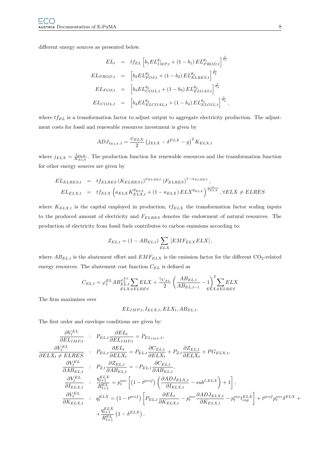different energy sources as presented below.

$$
EL_t = t f_{EL} \left[ b_1 E L_{IMP,t}^{\theta_1} + (1 - b_1) E L_{PROD,t}^{\theta_1} \right]^{\frac{1}{\theta_1}} \nEL_{PROD,t} = \left[ b_2 E L_{FOS,t}^{\theta_2} + (1 - b_2) E L_{ELRES,t}^{\theta_2} \right]^{\frac{1}{\theta_2}} \nEL_{FOS,t} = \left[ b_3 E L_{COLL,t}^{\theta_3} + (1 - b_3) E L_{ELGAS,t}^{\theta_3} \right]^{\frac{1}{\theta_3}} \nEL_{COLL,t} = \left[ b_4 E L_{ELCOAL,t}^{\theta_4} + (1 - b_4) E L_{ELOIL,t}^{\theta_4} \right]^{\frac{1}{\theta_4}},
$$

where  $tf_{EL}$  is a transformation factor to adjust output to aggregate electricity production. The adjustment costs for fossil and renewable resources investment is given by

$$
ADJ_{I_{ELX},t} = \frac{\psi_{ELX}}{2} (j_{ELX} - \delta^{ELX} - g)^{2} K_{ELX,t}
$$

where  $j_{ELX} = \frac{I_{ELX}}{K_{ELX}}$ . The production function for renewable resources and the transformation function for other energy sources are given by

$$
EL_{ELRES,t} = t f_{ELRES} (K_{ELRES,t})^{\alpha_{ELRES}} (F_{ELRES})^{1-\alpha_{ELRES}},
$$
  
\n
$$
EL_{ELX,t} = t f_{ELX} \left( a_{ELX} K_{ELX,t}^{\theta_{ELX}} + (1 - a_{ELX}) ELX^{\theta_{ELX}} \right)^{\frac{1}{\theta_{ELX}}}, \forall ELX \neq ELRES
$$

where  $K_{ELX,t}$  is the capital employed in production,  $tf_{ELX}$  the transformation factor scaling inputs to the produced amount of electricity and  $F_{ELRES}$  denotes the endowment of natural resources. The production of electricity from fossil fuels contributes to carbon emissions according to:

$$
Z_{EL,t} = (1 - AB_{EL,t}) \sum_{ELX} [EMF_{ELX} ELX],
$$

where  $AB_{EL,t}$  is the abatement effort and  $EMF_{ELX}$  is the emission factor for the different CO<sub>2</sub>-related energy resources. The abatement cost function  $C_{EL}$  is defined as

$$
C_{EL,t} = \varphi_1^{EL} AB_{EL,t}^{\varphi_2^{EL}} \sum_{ELX \neq ELRES} ELX + \frac{\gamma_{C_{EL}}}{2} \left(\frac{AB_{EL,t}}{AB_{EL,t-1}} - 1\right)^2 \sum_{ELX \neq ELRES} ELX
$$

The firm maximizes over

$$
EL_{IMP,t}, I_{ELX,t}, ELX_t, AB_{EL,t}.
$$

The first order and envelope conditions are given by:

$$
\frac{\partial V_{t}^{EL}}{\partial EL_{M}P_{,t}} \quad : \quad P_{EL,t} \frac{\partial EL_{t}}{\partial EL_{M}P_{,t}} = P_{EL_{M}P_{,t}},
$$
\n
$$
\frac{\partial V_{t}^{EL}}{\partial EL_{X_{t}} \neq ELRES} \quad : \quad P_{EL,t} \frac{\partial EL_{t}}{\partial EL_{X_{t}}} = P_{EL,t} \frac{\partial C_{EL,t}}{\partial ELX_{t}} + P_{Z,t} \frac{\partial Z_{EL,t}}{\partial ELX_{t}} + P_{G_{EL}X_{,t}},
$$
\n
$$
\frac{\partial V_{t}^{EL}}{\partial AB_{EL,t}} \quad : \quad P_{Z,t} \frac{\partial Z_{EL,t}}{\partial AB_{EL,t}} = -P_{EL,t} \frac{\partial C_{EL,t}}{\partial AB_{EL,t}},
$$
\n
$$
\frac{\partial V_{t}^{EL}}{\partial I_{ELX,t}} \quad : \quad \frac{q_{t+1}^{EL}}{R_{t+1}^{EL}} = p_{t}^{inv} \left[ (1 - t^{prof}) \left( \frac{\partial ADJ_{EL}X_{,t}}{\partial I_{EL}X_{,t}} - sub^{I,ELX} \right) + 1 \right],
$$
\n
$$
\frac{\partial V_{t}^{EL}}{\partial K_{ELX,t}} \quad : \quad q_{t}^{ELX} = (1 - t^{prof}) \left[ P_{EL,t} \frac{\partial EL_{t}}{\partial K_{EL}X_{,t}} - p_{t}^{inv} \frac{\partial ADJ_{EL}X_{,t}}{\partial K_{EL}X_{,t}} - p_{t}^{inv} t_{cap}^{ELX} \right] + t^{prof} p_{t}^{inv} \delta^{ELX} + \frac{q_{t+1}^{ELX}}{R_{t+1}^{EL}} \left( 1 - \delta^{ELX} \right).
$$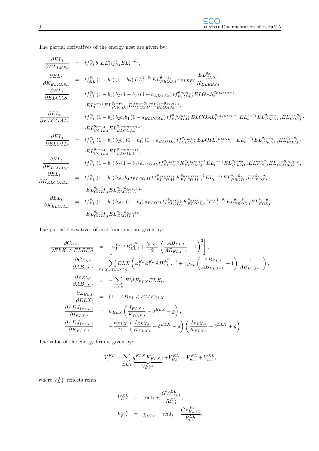The partial derivatives of the energy nest are given by:

$$
\frac{\partial EL_{t}}{\partial EL_{IMP,t}} = tf_{EL}^{\theta_{1}}b_{EL}E_{IMP,t}^{t_{1}-t_{1}},
$$
\n
$$
\frac{\partial EL_{t}}{\partial KE_{LEES,t}} = tf_{EL}^{\theta_{1}}(1-b_{1})(1-b_{2})EL_{t}^{1-\theta_{1}}EL_{PROD,t}^{\theta_{1}-\theta_{2}}\alpha_{ELRES}\frac{EL_{RES,t}}{KE_{LEES,t}},
$$
\n
$$
\frac{\partial EL_{t}}{\partial ELGAS_{t}} = tf_{EL}^{\theta_{1}}(1-b_{1})b_{2}(1-b_{3})(1-a_{ELGAS})tf_{ELGAS}^{\theta_{ELGAS}}ELGAS_{t}^{\theta_{ELGAS}-1}.
$$
\n
$$
\frac{\partial EL_{t}}{\partial ELGAS_{t}} = tf_{EL}^{\theta_{1}}(1-b_{1})b_{2}(1-b_{3})(1-a_{ELGAS})tf_{ELGAS}^{\theta_{ELGAS}}ELGAS_{t}^{\theta_{ELGAS}-1}.
$$
\n
$$
\frac{\partial EL_{t}}{\partial ELGAL_{t}} = tf_{EL}^{\theta_{1}}(1-b_{1})b_{2}b_{3}b_{4}(1-a_{ELGOL})tf_{ELGAS,t}^{\theta_{ELGAS,t}},
$$
\n
$$
\frac{\partial EL_{t}}{\partial ELGOL_{t}} = tf_{EL}^{\theta_{1}}(1-b_{1})b_{2}b_{3}(1-b_{4})(1-a_{ELGOL})tf_{ELGOL}^{\theta_{ELGOL}}ELCOL_{t}^{\theta_{ELGOL}-1}EL_{t}^{1-\theta_{1}}EL_{PROD,t}^{\theta_{1}-\theta_{2}}\frac{EL_{POS,t}^{\theta_{2}-\theta_{3}}}{EL_{COL}^{\theta_{1}}EL_{LCOAL_{t}}},
$$
\n
$$
\frac{\partial EL_{t}}{\partial EL_{COL,t}} = tf_{EL}^{\theta_{1}}(1-b_{1})b_{2}(1-b_{3})a_{ELGAS}tf_{ELGAS}^{\theta_{ELGAS,t}}E_{LEGSAS,t}^{E_{LEGSAS,t}}EL_{t}^{1-\theta_{1}}EL_{PROD,t}^{\theta_{1}-\theta_{2}}EL_{POS,t}^{\theta_{2}-\theta_{3}}.
$$
\n
$$
\frac{\partial EL_{t}}{\partial KE_{ECOA,t}} = tf_{EL}^{\theta_{1}}(1-b_{1})b_{2}(1-b_{3})a_{ELGAS}tf_{ELGAS}^{\theta_{ELGAS,t
$$

The partial derivatives of cost functions are given by:

$$
\frac{\partial C_{EL,t}}{\partial ELX \neq ELRES} = \left[ \varphi_1^{EL} AB_{EL,t}^{\varphi_2^{EL}} + \frac{\gamma_{C_{EL}}}{2} \left( \frac{AB_{EL,t}}{AB_{EL,t-1}} - 1 \right)^2 \right],
$$
\n
$$
\frac{\partial C_{EL,t}}{\partial AB_{EL,t}} = \sum_{ELX \neq ELRES} ELX \left( \varphi_1^{EL} \varphi_2^{EL} AB_{EL,t}^{\varphi_2^{EL}-1} + \gamma_{C_{EL}} \left( \frac{AB_{EL,t}}{AB_{EL,t-1}} - 1 \right) \frac{1}{AB_{EL,t-1}} \right),
$$
\n
$$
\frac{\partial Z_{EL,t}}{\partial AB_{EL,t}} = -\sum_{ELX} EMF_{ELX} ELX_t,
$$
\n
$$
\frac{\partial Z_{EL,t}}{\partial ELX_t} = (1 - AB_{EL,t}) EMF_{ELX},
$$
\n
$$
\frac{\partial ADJ_{I_{ELX,t}}}{\partial I_{ELX,t}} = \psi_{ELX} \left( \frac{I_{ELX,t}}{K_{ELX,t}} - \delta^{ELX} - g \right),
$$
\n
$$
\frac{\partial ADJ_{I_{ELX,t}}}{\partial K_{ELX,t}} = -\frac{\psi_{ELX}}{2} \left( \frac{I_{ELX,t}}{K_{ELX,t}} - \delta^{ELX} - g \right) \left( \frac{I_{ELX,t}}{K_{ELX,t}} + \delta^{ELX} + g \right).
$$

The value of the energy firm is given by:

$$
V_t^{EL} = \sum_{E L X} \underbrace{q_t^{ELX} K_{ELX,t}}_{V_{K,t}^{ELX}} + V_{E,t}^{EL} = V_{K,t}^{EL} + V_{E,t}^{EL},
$$

where  $V_{E,t}^{EL}$  reflects rents.

$$
V_{E,t}^{EL} = \text{rent}_t + \frac{GV_{E,t+1}^{EL}}{R_{t+1}^{EL}},
$$
  

$$
V_{K,t}^{EL} = \chi_{EL,t} - \text{rent}_t + \frac{GV_{K,t+1}^{EL}}{R_{t+1}^{EL}},
$$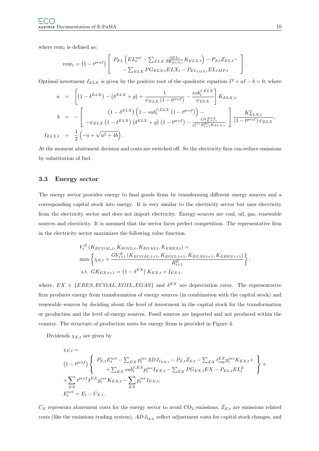where  $\text{rent}_t$  is defined as:

$$
rent_t = (1 - t^{prof}) \left[ \begin{array}{c} P_{EL} \left( EL_t^{net} - \sum_{ELX} \frac{\partial EL_t}{\partial K_{ELX,t}} K_{ELX,t} \right) - P_{Z,t} Z_{EL,t} - \\ - \sum_{ELX} PG_{ELX,t} ELX_t - P_{EL_{IMP,t}} EL_{IMP,t} \end{array} \right].
$$

Optimal investment  $I_{ELX}$  is given by the positive root of the quadratic equation  $I^2 + aI - b = 0$ , where

$$
a = \left[ (1 - \delta^{ELX}) - (\delta^{ELX} + g) + \frac{1}{\psi_{ELX} (1 - t^{prof})} - \frac{sub_t^{I,ELX}}{\psi_{ELX}} \right] K_{ELX,t},
$$
  
\n
$$
b = - \left[ \frac{(1 - \delta^{ELX}) (1 - sub_t^{I,ELX} (1 - t^{prof})) - \frac{GV_{ELX}^{ELX}}{\psi_{K,t+1}}}{-\psi_{ELX} (1 - \delta^{ELX}) (\delta^{ELX} + g) (1 - t^{prof}) - \frac{GV_{ELX}^{ELX}}{\psi_{K,t+1}} \right] \frac{K_{ELX,t}^2}{(1 - t^{prof}) \psi_{ELX}},
$$
  
\n
$$
LX_{,t} = \frac{1}{2} (-a + \sqrt{a^2 + 4b}).
$$

At the moment abatement decision and costs are switched off. So the electricity firm can reduce emissions by substitution of fuel.

### 3.3 Energy sector

 $I_E$ 

The energy sector provides energy to final goods firms by transforming different energy sources and a corresponding capital stock into energy. It is very similar to the electricity sector but uses electricity from the electricity sector and does not import electricity. Energy sources are coal, oil, gas, renewable sources and electricity. It is assumed that the sector faces perfect competition. The representative firm in the electricity sector maximizes the following value function.

$$
V_t^E\left(K_{ECOAL,t}, K_{EOL,t}, K_{EGAS,t}, K_{ERES,t}\right) =
$$
\n
$$
\max\left\{\chi_{E,t} + \frac{GV_{t+1}^E\left(K_{ECOAL,t+1}, K_{EOL,t+1}, K_{EGAS,t+1}, K_{ERES,t+1}\right)}{R_{t+1}^E}\right\},
$$
\ns.t.  $GK_{EX,t+1} = (1 - \delta^{EX})K_{EX,t} + I_{EX,t},$ 

where,  $EX \in \{ERES, ECOAL, EOIL, EGAS\}$  and  $\delta^{EX}$  are depreciation rates. The representative firm produces energy from transformation of energy sources (in combination with the capital stock) and renewable sources by deciding about the level of investment in the capital stock for the transformation or production and the level of energy sources. Fossil sources are imported and not produced within the country. The structure of production nests for energy firms is provided in Figure 4.

Dividends  $\chi_{E,t}$  are given by

$$
\chi_{E,t} =
$$
\n
$$
(1 - t^{prof}) \left\{ P_{E,t} E_t^{net} - \sum_{EX} p_t^{inv} ADJ_{I_{EX,t}} - P_{Z,t} Z_{E,t} - \sum_{EX} t_{cap}^{EX} p_t^{inv} K_{EX,t} + \sum_{Y} t_{Y,t}^{proj} \delta^{EX} p_t^{inv} K_{EX,t} - \sum_{EX} P G_{EX,t} EX - P_{EL,t} E L_t^{E} + \sum_{EX} t^{prof} \delta^{EX} p_t^{inv} K_{EX,t} - \sum_{EX} p_t^{inv} I_{EX,t},
$$
\n
$$
E_t^{net} = E_t - C_{E,t}.
$$

 $C_E$  represents abatement costs for the energy sector to avoid  $CO_2$  emissions,  $Z_{E,t}$  are emissions related costs (like the emissions trading system),  $ADJ_{I_{EX}}$  reflect adjustment costs for capital stock changes, and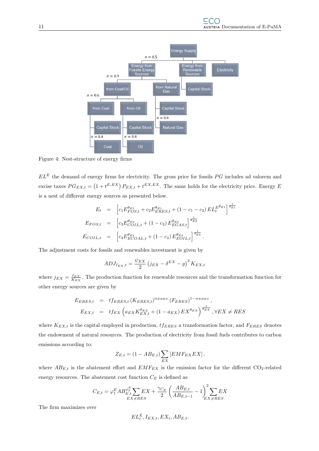

Figure 4: Nest-structure of energy firms

 $EL<sup>E</sup>$  the demand of energy firms for electricity. The gross price for fossils  $PG$  includes ad valorem and excise taxes  $PG_{EX,t} = (1 + t^{E,EX}) P_{EX,t} + t^{EX,EX}$ . The same holds for the electricity price. Energy E is a nest of different energy sources as presented below.

$$
E_t = \left[ c_1 E_{FOS,t}^{\theta_{E1}} + c_2 E_{ERES,t}^{\theta_{E1}} + (1 - c_1 - c_2) E L_t^{E\theta_{E1}} \right]^{\frac{1}{\theta_{E1}}} \nE_{FOS,t} = \left[ c_3 E_{COIL,t}^{\theta_{E3}} + (1 - c_3) E_{EGAS,t}^{\theta_{E3}} \right]^{\frac{1}{\theta_{E3}}} \nE_{COIL,t} = \left[ c_4 E_{ECOAL,t}^{\theta_{E4}} + (1 - c_4) E_{EOLL,t}^{\theta_{E4}} \right]^{\frac{1}{\theta_{E4}}}.
$$

The adjustment costs for fossils and renewables investment is given by

$$
ADJ_{I_{EX},t} = \frac{\psi_{EX}}{2} \left( j_{EX} - \delta^{EX} - g \right)^2 K_{EX,t}
$$

where  $j_{EX} = \frac{I_{EX}}{K_{EX}}$ . The production function for renewable resources and the transformation function for other energy sources are given by

$$
E_{ERES,t} = t f_{ERES,t} (K_{ERES,t})^{\alpha_{ERES}} (F_{ERES})^{1-\alpha_{ERES}},
$$
  
\n
$$
E_{EX,t} = t f_{EX} \left( a_{EX} K_{EX,t}^{\theta_{EX}} + (1 - a_{EX}) E X^{\theta_{EX}} \right)^{\frac{1}{\theta_{EX}}}, \forall EX \neq RES
$$

where  $K_{EX,t}$  is the capital employed in production,  $tf_{ERES}$  a transformation factor, and  $F_{ERES}$  denotes the endowment of natural resources. The production of electricity from fossil fuels contributes to carbon emissions according to:

$$
Z_{E,t} = (1 - AB_{E,t}) \sum_{EX} [EMF_{EX} EX],
$$

where  $AB_{E,t}$  is the abatement effort and  $EMF_{EX}$  is the emission factor for the different CO<sub>2</sub>-related energy resources. The abatement cost function  $C_E$  is defined as

$$
C_{E,t} = \varphi_1^E AB_{E,t}^{\varphi_2^E} \sum_{EX \neq RES} EX + \frac{\gamma_{C_E}}{2} \left( \frac{AB_{E,t}}{AB_{E,t-1}} - 1 \right)_{EX \neq RES}^2 EX
$$

The firm maximizes over

$$
EL^E_t, I_{EX,t}, EX_t, AB_{E,t}. \label{eq:EL} \vspace{-0.05in}
$$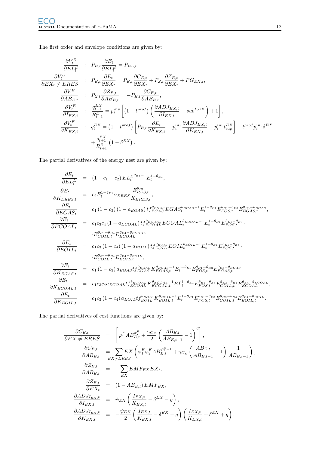The first order and envelope conditions are given by:

$$
\frac{\partial V_{t}^{E}}{\partial EL_{t}^{E}} : P_{E,t} \frac{\partial E_{t}}{\partial EL_{t}^{E}} = P_{EL,t}
$$
\n
$$
\frac{\partial V_{t}^{E}}{\partial EX_{t} \neq ERES} : P_{E,t} \frac{\partial E_{t}}{\partial EX_{t}} = P_{E,t} \frac{\partial C_{E,t}}{\partial EX_{t}} + P_{Z,t} \frac{\partial Z_{E,t}}{\partial EX_{t}} + P_{G_{EX,t}},
$$
\n
$$
\frac{\partial V_{t}^{E}}{\partial AB_{E,t}} : P_{Z,t} \frac{\partial Z_{E,t}}{\partial AB_{E,t}} = -P_{E,t} \frac{\partial C_{E,t}}{\partial AB_{E,t}},
$$
\n
$$
\frac{\partial V_{t}^{E}}{\partial I_{EX,t}} : \frac{q_{t+1}^{EX}}{R_{t+1}^{E}} = p_{t}^{inv} \left[ (1 - t^{prof}) \left( \frac{\partial ADJ_{EX,t}}{\partial I_{EX,t}} - sub^{I,EX} \right) + 1 \right],
$$
\n
$$
\frac{\partial V_{t}^{E}}{\partial K_{EX,t}} : q_{t}^{EX} = (1 - t^{prof}) \left[ P_{E,t} \frac{\partial E_{t}}{\partial K_{EX,t}} - p_{t}^{inv} \frac{\partial ADJ_{EX,t}}{\partial K_{EX,t}} - p_{t}^{inv} t_{cap}^{EX} \right] + t^{prof} p_{t}^{inv} \delta^{EX} + \frac{q_{t+1}^{EX}}{R_{t+1}^{E}} (1 - \delta^{EX}).
$$

The partial derivatives of the energy nest are given by:

$$
\frac{\partial E_t}{\partial E L_t^E} = (1 - c_1 - c_2) EL_t^{E\theta_{E1} - 1} E_t^{1 - \theta_{E1}},
$$
\n
$$
\frac{\partial E_t}{\partial K_{ERES,t}} = c_2 E_t^{1 - \theta_{E1}} \alpha_{ERES} \frac{E_{RES,t}^{\theta_{E1}}}{K_{ERES,t}},
$$
\n
$$
\frac{\partial E_t}{\partial EGAS_t} = c_1 (1 - c_3) (1 - a_{EGAS}) t f_{EGAS}^{\theta_{EGAS}} EGAS_t^{\theta_{EGAS} - 1} E_t^{1 - \theta_{E1}} E_{FOS,t}^{\theta_{E1} - \theta_{ES}} E_{EGAS,t}^{\theta_{ES} - \theta_{EGAS,t}},
$$
\n
$$
\frac{\partial E_t}{\partial ECOAL_t} = c_1 c_3 c_4 (1 - a_{ECOAL}) t f_{ECOAL}^{\theta_{ECOAL}} ECOAL_t^{\theta_{ECOAL} - 1} E_t^{1 - \theta_{E1}} E_{FOS,t}^{\theta_{ES} - \theta_{ES}}.
$$
\n
$$
\frac{\partial E_t}{\partial EOLL_t} = c_1 c_3 (1 - c_4) (1 - a_{EOIL}) t f_{EC1}^{\theta_{EOIL}} EOLL_t^{\theta_{EOIL} - 1} E_t^{1 - \theta_{E1}} E_{FOS,t}^{\theta_{E1} - \theta_{ES}}.
$$
\n
$$
\frac{\partial E_t}{\partial K_{ECAS,t}} = c_1 (1 - c_3) a_{ECAS} t f_{EGAS}^{\theta_{EGAS}} K_{EGAS,t}^{\theta_{EGAS} - 1} E_t^{1 - \theta_{E1}} E_{FOS,t}^{\theta_{E1} - \theta_{ES}} E_{EGAS,t}^{\theta_{ES} - \theta_{EGAS,t}},
$$
\n
$$
\frac{\partial E_t}{\partial K_{ECOAL,t}} = c_1 (1 - c_3) a_{ECAS} t f_{ECOAL}^{\theta_{ECOAL}} K_{ECOAL,t}^{\theta_{ECOAL} - 1} E_L^{1 - \theta_{E1}} E_{FOS,t}^{\theta_{E1} - \theta_{ES}} E_{GAS,t}^{\theta_{ES} - \theta_{EGAS,t}} E_{CCOIL,t}^{\theta_{E2} - \theta_{EGAS,t}}.
$$
\n
$$
\frac{\partial E_t}{\partial K_{ECOAL,t}} = c_1 c_3 (1 - c_4) a_{EOLt} t f_{EC
$$

The partial derivatives of cost functions are given by:

$$
\frac{\partial C_{E,t}}{\partial EX \neq ERES} = \left[ \varphi_1^E AB_{E,t}^{\varphi_2^E} + \frac{\gamma_{C_E}}{2} \left( \frac{AB_{E,t}}{AB_{E,t-1}} - 1 \right)^2 \right],
$$
\n
$$
\frac{\partial C_{E,t}}{\partial AB_{E,t}} = \sum_{EX \neq ERES} EX \left( \varphi_1^E \varphi_2^E AB_{E,t}^{\varphi_2^E - 1} + \gamma_{C_E} \left( \frac{AB_{E,t}}{AB_{E,t-1}} - 1 \right) \frac{1}{AB_{E,t-1}} \right),
$$
\n
$$
\frac{\partial Z_{E,t}}{\partial AB_{E,t}} = -\sum_{EX} EMF_{EX} EX_{t},
$$
\n
$$
\frac{\partial Z_{E,t}}{\partial E X_t} = (1 - AB_{E,t}) EMF_{EX},
$$
\n
$$
\frac{\partial ADJ_{I_{EX,t}}}{\partial I_{EX,t}} = \psi_{EX} \left( \frac{I_{EX,t}}{K_{EX,t}} - \delta^{EX} - g \right),
$$
\n
$$
\frac{\partial ADJ_{I_{EX,t}}}{\partial K_{EX,t}} = -\frac{\psi_{EX}}{2} \left( \frac{I_{EX,t}}{K_{EX,t}} - \delta^{EX} - g \right) \left( \frac{I_{EX,t}}{K_{EX,t}} + \delta^{EX} + g \right).
$$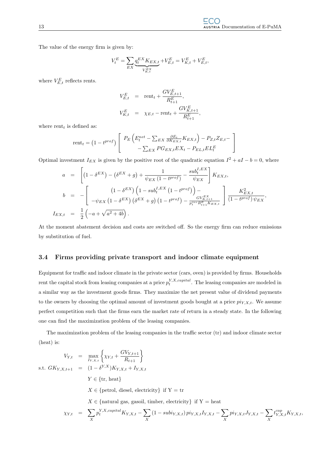The value of the energy firm is given by:

$$
V_t^E = \sum_{EX} \underbrace{q_t^{EX} K_{EX,t}}_{V_{K,t}^{EX}} + V_{E,t}^E = V_{K,t}^E + V_{E,t}^E,
$$

where  $V_{E,t}^{E}$  reflects rents.

$$
V_{E,t}^{E} = \text{rent}_{t} + \frac{GV_{E,t+1}^{E}}{R_{t+1}^{E}},
$$
  

$$
V_{K,t}^{E} = \chi_{E,t} - \text{rent}_{t} + \frac{GV_{K,t+1}^{E}}{R_{t+1}^{E}},
$$

where rent<sub>t</sub> is defined as:

$$
rent_t = (1 - t^{prof}) \left[ \begin{array}{c} P_E \left( E_t^{net} - \sum_{EX} \frac{\partial E_t}{\partial K_{EX,t}} K_{EX,t} \right) - P_{Z,t} Z_{E,t} - \\ - \sum_{EX} P G_{EX,t} E X_t - P_{EL,t} E L_t^E \end{array} \right]
$$

Optimal investment  $I_{EX}$  is given by the positive root of the quadratic equation  $I^2 + aI - b = 0$ , where

$$
a = \left[ (1 - \delta^{EX}) - (\delta^{EX} + g) + \frac{1}{\psi_{EX} (1 - t^{prof})} - \frac{sub_t^{I,EX}}{\psi_{EX}} \right] K_{EX,t},
$$
  
\n
$$
b = - \left[ \frac{(1 - \delta^{EX}) (1 - sub_t^{I,EX} (1 - t^{prof})) - \frac{GV_{EX}^{EX}}{\psi_{EX}^{I,II}}}{-\psi_{EX} (1 - \delta^{EX}) (\delta^{EX} + g) (1 - t^{prof}) - \frac{GV_{EX}^{EX}}{\psi_{X}^{I,II} K_{EX,t}} \right] \frac{K_{EX,t}^2}{(1 - t^{prof}) \psi_{EX}},
$$
  
\n
$$
I_{EX,t} = \frac{1}{2} (-a + \sqrt{a^2 + 4b}).
$$

At the moment abatement decision and costs are switched off. So the energy firm can reduce emissions by substitution of fuel.

#### 3.4 Firms providing private transport and indoor climate equipment

Equipment for traffic and indoor climate in the private sector (cars, oven) is provided by firms. Households rent the capital stock from leasing companies at a price  $p_t^{Y,X, capital}$ . The leasing companies are modeled in a similar way as the investment goods firms. They maximize the net present value of dividend payments to the owners by choosing the optimal amount of investment goods bought at a price  $pi_{Y,X,t}$ . We assume perfect competition such that the firms earn the market rate of return in a steady state. In the following one can find the maximization problem of the leasing companies.

The maximization problem of the leasing companies in the traffic sector (tr) and indoor climate sector (heat) is:

$$
V_{Y,t} = \max_{I_{Y,X,t}} \left\{ \chi_{Y,t} + \frac{GV_{Y,t+1}}{R_{t+1}} \right\}
$$
  
s.t.  $GK_{Y,X,t+1} = (1 - \delta^{Y,X})K_{Y,X,t} + I_{Y,X,t}$   
 $Y \in \{\text{tr, heat}\}$   
 $X \in \{\text{petrol, diesel, electricity}\} \text{ if } Y = \text{tr}$   
 $X \in \{\text{natural gas, gasoil, timber, electricity}\} \text{ if } Y = \text{heat}$   
 $\chi_{Y,t} = \sum_{X} p_t^{Y,X, capital} K_{Y,X,t} - \sum_{X} (1 - subi_{Y,X,t}) p_{iY,X,t} I_{Y,X,t} - \sum_{X} p_{iY,X,t} J_{Y,X,t} - \sum_{X} t_{Y,X,t}^{cap} K_{Y,X,t},$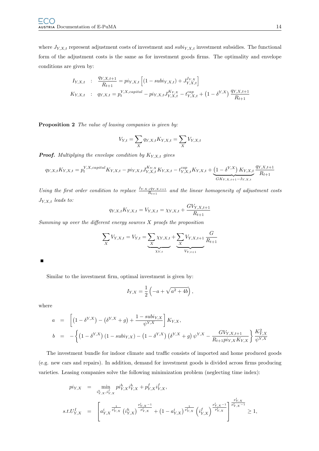where  $J_{Y,X,t}$  represent adjustment costs of investment and  $subiy,x,t$  investment subsidies. The functional form of the adjustment costs is the same as for investment goods firms. The optimality and envelope conditions are given by:

$$
I_{Y,X,t} : \frac{q_{Y,X,t+1}}{R_{t+1}} = pi_{Y,X,t} \left[ (1 - subi_{Y,X,t}) + J_{Y,X,t}^{I_{Y,X}} \right]
$$
  

$$
K_{Y,X,t} : q_{Y,X,t} = p_t^{Y,X, capital} - pi_{Y,X,t} J_{Y,X,t}^{K_{Y,X}} - t_{Y,X,t}^{cap} + (1 - \delta^{Y,X}) \frac{q_{Y,X,t+1}}{R_{t+1}}
$$

Proposition 2 The value of leasing companies is given by:

$$
V_{Y,t} = \sum_{X} q_{Y,X,t} K_{Y,X,t} = \sum_{X} V_{Y,X,t}
$$

**Proof.** Multiplying the envelope condition by  $K_{Y,X,t}$  gives

$$
q_{Y,X,t}K_{Y,X,t} = p_t^{Y,X, capital}K_{Y,X,t} - p i_{Y,X,t} J_{Y,X,t}^{K_{Y,X}}K_{Y,X,t} - t_{Y,X,t}^{cap}K_{Y,X,t} + \underbrace{\left(1 - \delta^{Y,X}\right)K_{Y,X,t}}_{GK_{Y,X,t+1} - I_{Y,X,t}} \frac{q_{Y,X,t+1}}{R_{t+1}}
$$

Using the first order condition to replace  $\frac{I_{Y,X,t}q_{Y,X,t+1}}{R_{t+1}}$  and the linear homogeneity of adjustment costs  $J_{Y,X,t}$  leads to:

$$
q_{Y,X,t}K_{Y,X,t} = V_{Y,X,t} = \chi_{Y,X,t} + \frac{GV_{Y,X,t+1}}{R_{t+1}}
$$

Summing up over the different energy sources  $X$  proofs the proposition

$$
\sum_{X} V_{Y,X,t} = V_{Y,t} = \underbrace{\sum_{X} \chi_{Y,X,t}}_{XY,t} + \underbrace{\sum_{X} V_{Y,X,t+1}}_{V_{Y,t+1}} \frac{G}{R_{t+1}}
$$

П

Similar to the investment firm, optimal investment is given by:

$$
I_{Y,X} = \frac{1}{2} \left( -a + \sqrt{a^2 + 4b} \right),\,
$$

where

$$
a = \left[ (1 - \delta^{Y,X}) - (\delta^{Y,X} + g) + \frac{1 - subi_{Y,X}}{\psi^{Y,X}} \right] K_{Y,X},
$$
  
\n
$$
b = -\left\{ (1 - \delta^{Y,X}) (1 - subi_{Y,X}) - (1 - \delta^{Y,X}) (\delta^{Y,X} + g) \psi^{Y,X} - \frac{GV_{Y,X,t+1}}{R_{t+1}pi_{Y,X}K_{Y,X}} \right\} \frac{K_{Y,X}^2}{\psi^{Y,X}}
$$

The investment bundle for indoor climate and traffic consists of imported and home produced goods (e.g. new cars and repairs). In addition, demand for investment goods is divided across firms producing varieties. Leasing companies solve the following minimization problem (neglecting time index):

$$
\begin{array}{rcl}\n\begin{array}{rcl}\n\begin{array}{rcl}\n\begin{array}{rcl}\n\begin{array}{rcl}\n\begin{array}{rcl}\n\begin{array}{rcl}\n\begin{array}{rcl}\n\begin{array}{rcl}\n\begin{array}{rcl}\n\begin{array}{rcl}\n\begin{array}{rcl}\n\begin{array}{rcl}\n\begin{array}{rcl}\n\begin{array}{rcl}\n\begin{array}{rcl}\n\begin{array}{rcl}\n\begin{array}{rcl}\n\begin{array}{rcl}\n\begin{array}{rcl}\n\begin{array}{rcl}\n\begin{array}{rcl}\n\begin{array}{rcl}\n\begin{array}{rcl}\n\begin{array}{rcl}\n\begin{array}{rcl}\n\begin{array}{rcl}\n\begin{array}{rcl}\n\begin{array}{rcl}\n\begin{array}{rcl}\n\begin{array}{rcl}\n\begin{array}{rcl}\n\begin{array}{rcl}\n\begin{array}{rcl}\n\begin{array}{rcl}\n\begin{array}{rcl}\n\begin{array}{rcl}\n\begin{array}{rcl}\n\begin{array}{rcl}\n\begin{array}{rcl}\n\begin{array}{rcl}\n\begin{array}{rcl}\n\begin{array}{rcl}\n\begin{array}{rcl}\n\begin{array}{rcl}\n\begin{array}{rcl}\n\begin{array}{rcl}\n\begin{array}{rcl}\n\begin{array}{rcl}\n\begin{array}{rcl}\n\begin{array}{rcl}\n\begin{array}{rcl}\n\begin{array}{rcl}\n\begin{array}{r}\n\begin{array}{r}\n\begin{array}{r}\n\begin{array}{r}\n\mathbf{1} \\
\n\end{array}\n\end{array}\n\end{array}\n\end{array}\n\end{array}\n\end{array}\n\end{array}\n\end{array}\n\end{array}\n\end{array}\n\end{array}\n\end{array}\n\end{array}\n\end{array}\n\end{array}\n\end{array}\n\begin{array}{c}\n\begin{array}{rcl}\n\begin{array}{r}\n\begin{array}{r}\n\begin{array}{r}\n\mathbf{1} \\
\n\mathbf{1} \\
\n\end{array}\n\end{array}\n\end{array}\n\end{array}\n\end{array}\n\end{array}\n\end{array}\n\begin{array}{c}\n\begin{array}{r}\n\begin{array}{r}\n\mathbf{1} \\
\n\begin{array}{rcl}\n\begin{
$$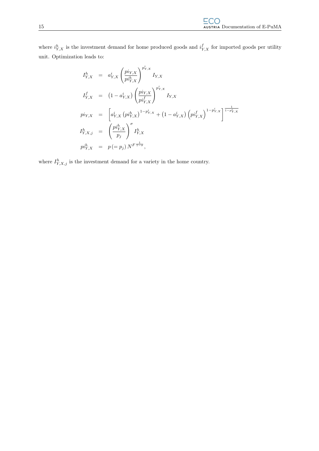where  $i_{Y,X}^h$  is the investment demand for home produced goods and  $i_{Y,X}^f$  for imported goods per utility unit. Optimization leads to:

$$
I_{Y,X}^h = a_{Y,X}^i \left( \frac{pi_{Y,X}}{pi_{Y,X}^h} \right)^{p_{Y,X}^i} I_{Y,X}
$$
  
\n
$$
I_{Y,X}^f = (1 - a_{Y,X}^i) \left( \frac{pi_{Y,X}}{pi_{Y,X}^f} \right)^{p_{Y,X}^i} I_{Y,X}
$$
  
\n
$$
pi_{Y,X} = \left[ a_{Y,X}^i \left( pi_{Y,X}^h \right)^{1 - p_{Y,X}^i} + (1 - a_{Y,X}^i) \left( pi_{Y,X}^f \right)^{1 - p_{Y,X}^i} \right]^{\frac{1}{1 - p_{Y,X}^i}}
$$
  
\n
$$
I_{Y,X,j}^h = \left( \frac{pi_{Y,X}^h}{p_j} \right)^{\sigma} I_{Y,X}^h
$$
  
\n
$$
pi_{Y,X}^h = p (= p_j) N^{F \frac{1}{1 - \sigma}},
$$

where  $I_{Y,X,j}^h$  is the investment demand for a variety in the home country.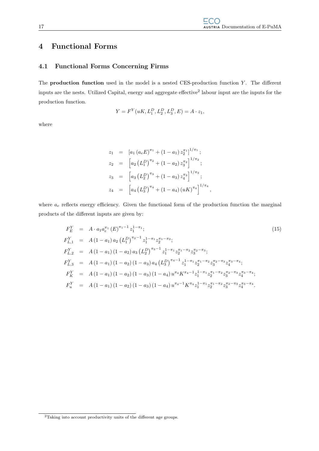### 4 Functional Forms

### 4.1 Functional Forms Concerning Firms

The **production function** used in the model is a nested CES-production function  $Y$ . The different inputs are the nests. Utilized Capital, energy and aggregate effective<sup>2</sup> labour input are the inputs for the production function.

$$
Y = F^{Y}(uK, L_1^D, L_2^D, L_3^D, E) = A \cdot z_1,
$$

where

$$
z_1 = [a_1 (a_e E)^{\pi_1} + (1 - a_1) z_2^{\pi_1}]^{1/\pi_1};
$$
  
\n
$$
z_2 = [a_2 (L_1^D)^{\pi_2} + (1 - a_2) z_3^{\pi_2}]^{1/\pi_2};
$$
  
\n
$$
z_3 = [a_3 (L_2^D)^{\pi_3} + (1 - a_3) z_4^{\pi_3}]^{1/\pi_3};
$$
  
\n
$$
z_4 = [a_4 (L_3^D)^{\pi_4} + (1 - a_4) (uK)^{\pi_4}]^{1/\pi_4},
$$

where  $a_e$  reflects energy efficiency. Given the functional form of the production function the marginal products of the different inputs are given by:

$$
F_E^Y = A \cdot a_1 a_e^{\pi_1} (E)^{\pi_1 - 1} z_1^{1 - \pi_1};
$$
\n
$$
F_{L,1}^Y = A (1 - a_1) a_2 (L_1^D)^{\pi_2 - 1} z_1^{1 - \pi_1} z_2^{\pi_1 - \pi_2};
$$
\n
$$
F_{L,2}^Y = A (1 - a_1) (1 - a_2) a_3 (L_2^D)^{\pi_3 - 1} z_1^{1 - \pi_1} z_2^{\pi_1 - \pi_2} z_3^{\pi_2 - \pi_3};
$$
\n
$$
F_{L,3}^Y = A (1 - a_1) (1 - a_2) (1 - a_3) a_4 (L_3^D)^{\pi_4 - 1} z_1^{1 - \pi_1} z_2^{\pi_1 - \pi_2} z_3^{\pi_2 - \pi_3} z_4^{\pi_3 - \pi_4};
$$
\n
$$
F_K^Y = A (1 - a_1) (1 - a_2) (1 - a_3) (1 - a_4) u^{\pi_4} K^{\pi_4 - 1} z_1^{1 - \pi_1} z_2^{\pi_1 - \pi_2} z_3^{\pi_2 - \pi_3} z_4^{\pi_3 - \pi_4};
$$
\n
$$
F_u^Y = A (1 - a_1) (1 - a_2) (1 - a_3) (1 - a_4) u^{\pi_4 - 1} K^{\pi_4} z_1^{1 - \pi_1} z_2^{\pi_1 - \pi_2} z_3^{\pi_2 - \pi_3} z_4^{\pi_3 - \pi_4}.
$$
\n(15)

 ${}^{2}\mathrm{Taking}$  into account productivity units of the different age groups.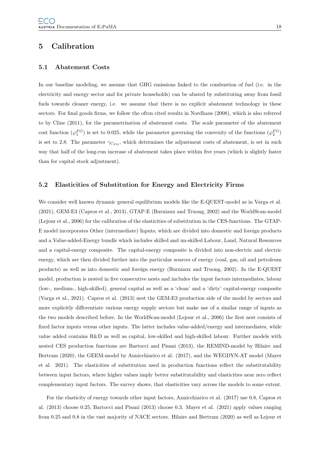### 5 Calibration

### 5.1 Abatement Costs

In our baseline modeling, we assume that GHG emissions linked to the combustion of fuel (i.e. in the electricity and energy sector and for private households) can be abated by substituting away from fossil fuels towards cleaner energy, i.e. we assume that there is no explicit abatement technology in these sectors. For final goods firms, we follow the often cited results in Nordhaus (2008), which is also referred to by Cline (2011), for the parametrisation of abatement costs. The scale parameter of the abatement cost function  $(\varphi_1^{FG})$  is set to 0.025, while the parameter governing the convexity of the functions  $(\varphi_2^{FG})$ is set to 2.8. The parameter  $\gamma_{C_{FG}}$ , which determines the adjustment costs of abatement, is set in such way that half of the long-run increase of abatement takes place within five years (which is slightly faster than for capital stock adjustment).

### 5.2 Elasticities of Substitution for Energy and Electricity Firms

We consider well known dynamic general equilibrium models like the E-QUEST-model as in Varga et al. (2021), GEM-E3 (Capros et al., 2013), GTAP-E (Burniaux and Truong, 2002) and the WorldScan-model (Lejour et al., 2006) for the calibration of the elasticities of substitution in the CES-functions. The GTAP-E model incorporates Other (intermediate) Inputs, which are divided into domestic and foreign products and a Value-added-Energy bundle which includes skilled and un-skilled Labour, Land, Natural Resources and a capital-energy composite. The capital-energy composite is divided into non-electric and electric energy, which are then divided further into the particular sources of energy (coal, gas, oil and petroleum products) as well as into domestic and foreign energy (Burniaux and Truong, 2002). In the E-QUEST model, production is nested in five consecutive nests and includes the input factors intermediates, labour (low-, medium-, high-skilled), general capital as well as a 'clean' and a 'dirty' capital-energy composite (Varga et al., 2021). Capros et al. (2013) nest the GEM-E3 production side of the model by sectors and more explicitly differentiate various energy supply sectors but make use of a similar range of inputs as the two models described before. In the WorldScan-model (Lejour et al., 2006) the first nest consists of fixed factor inputs versus other inputs. The latter includes value-added/energy and intermediates, while value added contains R&D as well as capital, low-skilled and high-skilled labour. Further models with nested CES production functions are Bartocci and Pisani (2013), the REMIND-model by Hilaire and Bertram (2020), the GEEM-model by Annicchiarico et al. (2017), and the WEGDYN-AT model (Mayer et al. 2021). The elasticities of substitution used in production functions reflect the substitutability between input factors, where higher values imply better substitutability and elasticities near zero reflect complementary input factors. The survey shows, that elasticities vary across the models to some extent.

For the elasticity of energy towards other input factors, Annicchiarico et al. (2017) use 0.8, Capros et al. (2013) choose 0.25, Bartocci and Pisani (2013) choose 0.3. Mayer et al. (2021) apply values ranging from 0.25 and 0.8 in the vast majority of NACE sectors. Hilaire and Bertram (2020) as well as Lejour et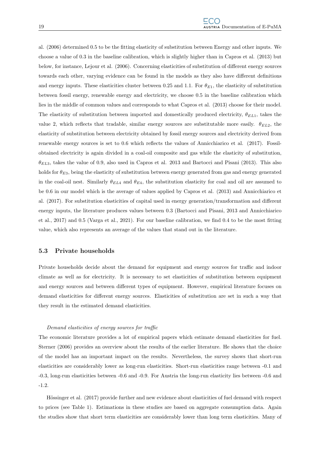al. (2006) determined 0.5 to be the fitting elasticity of substitution between Energy and other inputs. We choose a value of 0.3 in the baseline calibration, which is slightly higher than in Capros et al. (2013) but below, for instance, Lejour et al. (2006). Concerning elasticities of substitution of different energy sources towards each other, varying evidence can be found in the models as they also have different definitions and energy inputs. These elasticities cluster between 0.25 and 1.1. For  $\theta_{E1}$ , the elasticity of substitution between fossil energy, renewable energy and electricity, we choose 0.5 in the baseline calibration which lies in the middle of common values and corresponds to what Capros et al. (2013) choose for their model. The elasticity of substitution between imported and domestically produced electricity,  $\theta_{EL1}$ , takes the value 2, which reflects that tradable, similar energy sources are substitutable more easily.  $\theta_{EL2}$ , the elasticity of substitution between electricity obtained by fossil energy sources and electricity derived from renewable energy sources is set to 0.6 which reflects the values of Annicchiarico et al. (2017). Fossilobtained electricity is again divided in a coal-oil composite and gas while the elasticity of substitution,  $\theta_{EL3}$ , takes the value of 0.9, also used in Capros et al. 2013 and Bartocci and Pisani (2013). This also holds for  $\theta_{E3}$ , being the elasticity of substitution between energy generated from gas and energy generated in the coal-oil nest. Similarly  $\theta_{EL4}$  and  $\theta_{E4}$ , the substitution elasticity for coal and oil are assumed to be 0.6 in our model which is the average of values applied by Capros et al. (2013) and Annicchiarico et al. (2017). For substitution elasticities of capital used in energy generation/transformation and different energy inputs, the literature produces values between 0.3 (Bartocci and Pisani, 2013 and Annicchiarico et al., 2017) and 0.5 (Varga et al., 2021). For our baseline calibration, we find 0.4 to be the most fitting value, which also represents an average of the values that stand out in the literature.

### 5.3 Private households

Private households decide about the demand for equipment and energy sources for traffic and indoor climate as well as for electricity. It is necessary to set elasticities of substitution between equipment and energy sources and between different types of equipment. However, empirical literature focuses on demand elasticities for different energy sources. Elasticities of substitution are set in such a way that they result in the estimated demand elasticities.

#### Demand elasticities of energy sources for traffic

The economic literature provides a lot of empirical papers which estimate demand elasticities for fuel. Sterner (2006) provides an overview about the results of the earlier literature. He shows that the choice of the model has an important impact on the results. Nevertheless, the survey shows that short-run elasticities are considerably lower as long-run elasticities. Short-run elasticities range between -0.1 and -0.3, long-run elasticities between -0.6 and -0.9. For Austria the long-run elasticity lies between -0.6 and -1.2.

Hössinger et al. (2017) provide further and new evidence about elasticities of fuel demand with respect to prices (see Table 1). Estimations in these studies are based on aggregate consumption data. Again the studies show that short term elasticities are considerably lower than long term elasticities. Many of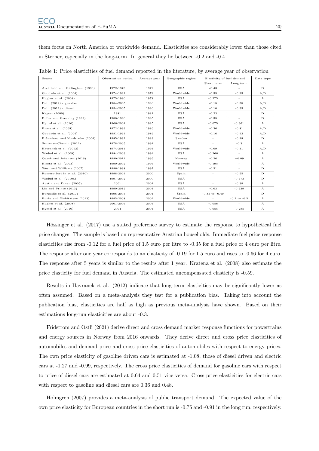them focus on North America or worldwide demand. Elasticities are considerably lower than those cited in Sterner, especially in the long-term. In general they lie between -0.2 and -0.4.

| Source                          | Observation period | Average year | Geographic region | Elasticity of fuel demand |                  | Data type    |
|---------------------------------|--------------------|--------------|-------------------|---------------------------|------------------|--------------|
|                                 |                    |              |                   | Short term                | Long term        |              |
| Archibald and Gillingham (1980) | 1972-1973          | 1972         | <b>USA</b>        | $-0.43$                   |                  | D            |
| Goodwin et al. (2004)           | 1974-1981          | 1978         | Worldwide         | $-0.35$                   | $-0.93$          | A, D         |
| Hughes et al. $(2008)$          | 1975-1980          | 1978         | <b>USA</b>        | $-0.275$                  | $\sim$           | $\mathbf{A}$ |
| Dahl $(2012)$ - gasoline        | 1954-2005          | 1980         | Worldwide         | $-0.15$                   | $-0.55$          | A, D         |
| Dahl $(2012)$ - diesel          | 1954-2005          | 1980         | Worldwide         | $-0.10$                   | $-0.33$          | A, D         |
| Kayser (2000)                   | 1981               | 1981         | USA               | $-0.23$                   |                  | D            |
| Puller and Greening (1999)      | 1980-1990          | 1985         | USA               | $-0.35$                   | $\sim$           | D            |
| Hymel et al. $(2010)$           | 1966-2004          | 1985         | USA               | $-0.075$                  | $-0.361$         | $\mathbf{A}$ |
| Brons et al. (2008)             | 1972-1999          | 1986         | Worldwide         | $-0.36$                   | $-0.81$          | A.D          |
| Goodwin et al. (2004)           | 1981-1991          | 1986         | Worldwide         | $-0.16$                   | $-0.43$          | A, D         |
| Brännlund and Nordström (2004)  | 1985-1992          | 1989         | Sweden            | $\sim$                    | $-0.98$          | D.           |
| Sentenac-Chemin (2012)          | 1978-2005          | 1991         | USA               | ÷.                        | $-0.3$           | $\mathbf{A}$ |
| Havranek et al. (2012)          | 1974-2011          | 1993         | Worldwide         | $-0.09$                   | $-0.31$          | A, D         |
| Wadud et al. (2009)             | 1984-2003          | 1994         | <b>USA</b>        | $-0.266$                  | $\sim$           | $\mathbf{A}$ |
| Odeck and Johansen (2016)       | 1980-2011          | 1995         | Norway            | $-0.26$                   | $+0.09$          | $\mathbf{A}$ |
| Hirota et al. (2003)            | 1990-2002          | 1996         | Worldwide         | $-0.195$                  | $\sim$           | $\mathbf{A}$ |
| West and Williams (2007)        | 1996-1998          | 1997         | USA               | $-0.51$                   |                  | D            |
| Romero-Jordán et al. (2010)     | 1998-2001          | 2000         | Spain             | $\sim$                    | $-0.55$          | $\mathbf{D}$ |
| Wadud et al. (2010a)            | 1997-2002          | 2000         | USA               |                           | $-0.473$         | D            |
| Austin and Dinan (2005)         | 2001               | 2001         | USA               | $\sim$                    | $-0.39$          | $\mathbf{A}$ |
| Lin and Prince (2013)           | 1990-2012          | 2001         | USA               | $-0.03$                   | $-0.239$         | $\mathbf{A}$ |
| Burguillo et al. (2017)         | 1998-2005          | 2001         | Spain             | $-0.35$ to $-0.49$        |                  | $\mathbf{D}$ |
| Burke and Nishitateno (2013)    | 1995-2008          | 2002         | Worldwide         | ÷                         | $-0.2$ to $-0.5$ | $\mathbf{A}$ |
| Hughes et al. $(2008)$          | 2001-2006          | 2004         | USA               | $-0.056$                  | ٠                | A            |
| Hymel et al. $(2010)$           | 2004               | 2004         | USA               | $-0.055$                  | $-0.285$         | $\mathbf{A}$ |

Table 1: Price elasticities of fuel demand reported in the literature, by average year of observation

Hössinger et al. (2017) use a stated preference survey to estimate the response to hypothetical fuel price changes. The sample is based on representative Austrian households. Immediate fuel price response elasticities rise from -0.12 for a fuel price of 1.5 euro per litre to -0.35 for a fuel price of 4 euro per litre. The response after one year corresponds to an elasticity of -0.19 for 1.5 euro and rises to -0.66 for 4 euro. The response after 5 years is similar to the results after 1 year. Kratena et al. (2008) also estimate the price elasticity for fuel demand in Austria. The estimated uncompensated elasticity is -0.59.

Results in Havranek et al. (2012) indicate that long-term elasticities may be significantly lower as often assumed. Based on a meta-analysis they test for a publication bias. Taking into account the publication bias, elasticities are half as high as previous meta-analysis have shown. Based on their estimations long-run elasticities are about -0.3.

Fridstrom and Ostli (2021) derive direct and cross demand market response functions for powertrains and energy sources in Norway from 2016 onwards. They derive direct and cross price elasticities of automobiles and demand price and cross price elasticities of automobiles with respect to energy prices. The own price elasticity of gasoline driven cars is estimated at -1.08, those of diesel driven and electric cars at -1.27 and -0.99, respectively. The cross price elasticities of demand for gasoline cars with respect to price of diesel cars are estimated at 0.64 and 0.51 vice versa. Cross price elasticities for electric cars with respect to gasoline and diesel cars are 0.36 and 0.48.

Holmgren (2007) provides a meta-analysis of public transport demand. The expected value of the own price elasticity for European countries in the short run is -0.75 and -0.91 in the long run, respectively.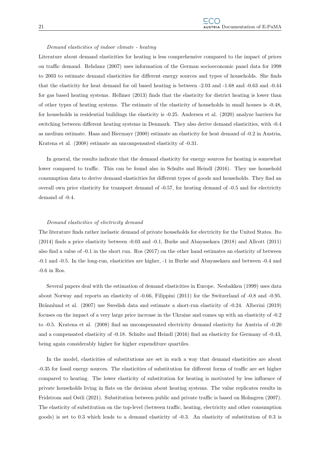#### Demand elasticities of indoor climate - heating

Literature about demand elasticities for heating is less comprehensive compared to the impact of prices on traffic demand. Rehdanz (2007) uses information of the German socioeconomic panel data for 1998 to 2003 to estimate demand elasticities for different energy sources and types of households. She finds that the elasticity for heat demand for oil based heating is between -2.03 and -1.68 and -0.63 and -0.44 for gas based heating systems. Hellmer (2013) finds that the elasticity for district heating is lower than of other types of heating systems. The estimate of the elasticity of households in small houses is -0.48, for households in residential buildings the elasticity is -0.25. Andersen et al. (2020) analyze barriers for switching between different heating systems in Denmark. They also derive demand elasticities, with -0.4 as medium estimate. Haas and Biermayr (2000) estimate an elasticity for heat demand of -0.2 in Austria, Kratena et al. (2008) estimate an uncompensated elasticity of -0.31.

In general, the results indicate that the demand elasticity for energy sources for heating is somewhat lower compared to traffic. This can be found also in Schulte and Heindl (2016). They use household consumption data to derive demand elasticities for different types of goods and households. They find an overall own price elasticity for transport demand of -0.57, for heating demand of -0.5 and for electricity demand of -0.4.

#### Demand elasticities of electricity demand

The literature finds rather inelastic demand of private households for electricity for the United States. Ito (2014) finds a price elasticity between -0.03 and -0.1, Burke and Abayasekara (2018) and Allcott (2011) also find a value of -0.1 in the short run. Ros (2017) on the other hand estimates an elasticity of between -0.1 and -0.5. In the long-run, elasticities are higher, -1 in Burke and Abayasekara and between -0.4 and -0.6 in Ros.

Several papers deal with the estimation of demand elasticities in Europe. Nesbakken (1999) uses data about Norway and reports an elasticity of -0.66, Filippini (2011) for the Switzerland of -0.8 and -0.95. Brännlund et al. (2007) use Swedish data and estimate a short-run elasticity of -0.24. Alberini (2019) focuses on the impact of a very large price increase in the Ukraine and comes up with an elasticity of -0.2 to -0.5. Kratena et al. (2008) find an uncompensated electricity demand elasticity for Austria of -0.20 and a compensated elasticity of -0.18. Schulte and Heindl (2016) find an elasticity for Germany of -0.43, being again considerably higher for higher expenditure quartiles.

In the model, elasticities of substitutions are set in such a way that demand elasticities are about -0.35 for fossil energy sources. The elasticities of substitution for different forms of traffic are set higher compared to heating. The lower elasticity of substitution for heating is motivated by less influence of private households living in flats on the decision about heating systems. The value replicates results in Fridstrom and Ostli (2021). Substitution between public and private traffic is based on Holmgren (2007). The elasticity of substitution on the top-level (between traffic, heating, electricity and other consumption goods) is set to 0.3 which leads to a demand elasticity of -0.3. An elasticity of substitution of 0.3 is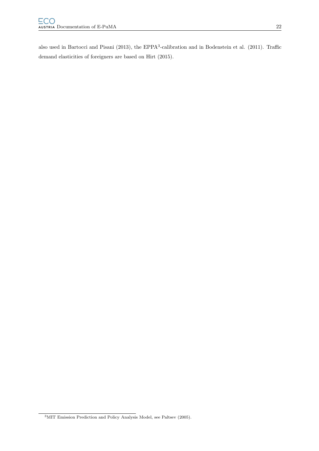also used in Bartocci and Pisani (2013), the EPPA<sup>3</sup>-calibration and in Bodenstein et al. (2011). Traffic demand elasticities of foreigners are based on Hirt (2015).

<sup>3</sup>MIT Emission Prediction and Policy Analysis Model, see Paltsev (2005).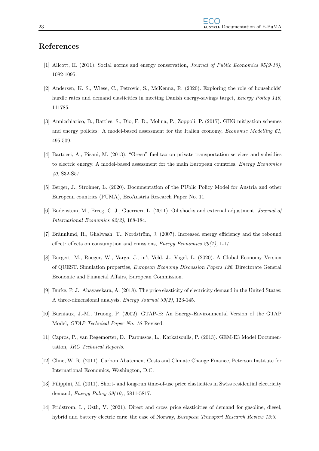### References

- [1] Allcott, H. (2011). Social norms and energy conservation, Journal of Public Economics 95(9-10), 1082-1095.
- [2] Andersen, K. S., Wiese, C., Petrovic, S., McKenna, R. (2020). Exploring the role of households' hurdle rates and demand elasticities in meeting Danish energy-savings target, *Energy Policy 146*, 111785.
- [3] Annicchiarico, B., Battles, S., Dio, F. D., Molina, P., Zoppoli, P. (2017). GHG mitigation schemes and energy policies: A model-based assessment for the Italien economy, *Economic Modelling 61*, 495-509.
- [4] Bartocci, A., Pisani, M. (2013). "Green" fuel tax on private transportation services and subsidies to electric energy. A model-based assessment for the main European countries, *Energy Economics* 40, S32-S57.
- [5] Berger, J., Strohner, L. (2020). Documentation of the PUblic Policy Model for Austria and other European countries (PUMA), EcoAustria Research Paper No. 11.
- [6] Bodenstein, M., Erceg, C. J., Guerrieri, L. (2011). Oil shocks and external adjustment, Journal of International Economics 82(2), 168-184.
- [7] Brännlund, R., Ghalwash, T., Nordström, J. (2007). Increased energy efficiency and the rebound effect: effects on consumption and emissions, *Energy Economics 29(1)*, 1-17.
- [8] Burgert, M., Roeger, W., Varga, J., in't Veld, J., Vogel, L. (2020). A Global Economy Version of QUEST. Simulation properties, European Economy Discussion Papers 126, Directorate General Economic and Financial Affairs, European Commission.
- [9] Burke, P. J., Abayasekara, A. (2018). The price elasticity of electricity demand in the United States: A three-dimensional analysis, Energy Journal 39(2), 123-145.
- [10] Burniaux, J.-M., Truong, P. (2002). GTAP-E: An Energy-Environmental Version of the GTAP Model, GTAP Technical Paper No. 16 Revised.
- [11] Capros, P., van Regemorter, D., Paroussos, L., Karkatsoulis, P. (2013). GEM-E3 Model Documentation, JRC Technical Reports.
- [12] Cline, W. R. (2011). Carbon Abatement Costs and Climate Change Finance, Peterson Institute for International Economics, Washington, D.C.
- [13] Filippini, M. (2011). Short- and long-run time-of-use price elasticities in Swiss residential electricity demand, Energy Policy 39(10), 5811-5817.
- [14] Fridstrom, L., Ostli, V. (2021). Direct and cross price elasticities of demand for gasoline, diesel, hybrid and battery electric cars: the case of Norway, *European Transport Research Review 13:3.*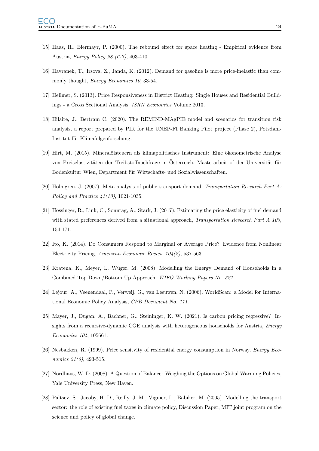- [15] Haas, R., Biermayr, P. (2000). The rebound effect for space heating Empirical evidence from Austria, Energy Policy 28 (6-7), 403-410.
- [16] Havranek, T., Irsova, Z., Janda, K. (2012). Demand for gasoline is more price-inelastic than commonly thought, *Energy Economics 10*, 33-54.
- [17] Hellmer, S. (2013). Price Responsiveness in District Heating: Single Houses and Residential Buildings - a Cross Sectional Analysis, ISRN Economics Volume 2013.
- [18] Hilaire, J., Bertram C. (2020). The REMIND-MAgPIE model and scenarios for transition risk analysis, a report prepared by PIK for the UNEP-FI Banking Pilot project (Phase 2), Potsdam-Institut für Klimafolgenforschung.
- [19] Hirt, M. (2015). Mineralölsteuern als klimapolitisches Instrument: Eine ökonometrische Analyse von Preiselastizitäten der Treibstoffnachfrage in Österreich, Masterarbeit of der Universität für Bodenkultur Wien, Department für Wirtschafts- und Sozialwissenschaften.
- [20] Holmgren, J. (2007). Meta-analysis of public transport demand, Transportation Research Part A: Policy and Practice 41(10), 1021-1035.
- [21] Hössinger, R., Link, C., Sonntag, A., Stark, J. (2017). Estimating the price elasticity of fuel demand with stated preferences derived from a situational approach, Transportation Research Part A 103, 154-171.
- [22] Ito, K. (2014). Do Consumers Respond to Marginal or Average Price? Evidence from Nonlinear Electricity Pricing, American Economic Review 104(2), 537-563.
- [23] Kratena, K., Meyer, I., Wüger, M. (2008). Modelling the Energy Demand of Households in a Combined Top Down/Bottom Up Approach, WIFO Working Papers No. 321.
- [24] Lejour, A., Veenendaal, P., Verweij, G., van Leeuwen, N. (2006). WorldScan: a Model for International Economic Policy Analysis, CPB Document No. 111.
- [25] Mayer, J., Dugan, A., Bachner, G., Steininger, K. W. (2021). Is carbon pricing regressive? Insights from a recursive-dynamic CGE analysis with heterogeneous households for Austria, *Energy* Economics 104, 105661.
- [26] Nesbakken, R. (1999). Price sensitvity of residential energy consumption in Norway, Energy Economics 21(6), 493-515.
- [27] Nordhaus, W. D. (2008). A Question of Balance: Weighing the Options on Global Warming Policies, Yale University Press, New Haven.
- [28] Paltsev, S., Jacoby, H. D., Reilly, J. M., Viguier, L., Babiker, M. (2005). Modelling the transport sector: the role of existing fuel taxes in climate policy, Discussion Paper, MIT joint program on the science and policy of global change.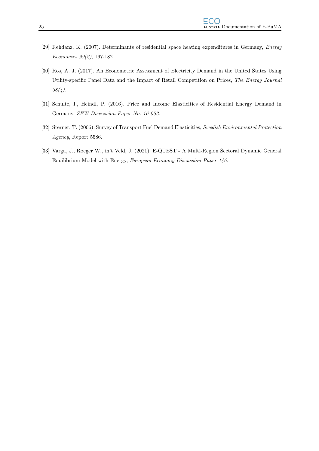- [29] Rehdanz, K. (2007). Determinants of residential space heating expenditures in Germany, *Energy* Economics 29(2), 167-182.
- [30] Ros, A. J. (2017). An Econometric Assessment of Electricity Demand in the United States Using Utility-specific Panel Data and the Impact of Retail Competition on Prices, The Energy Journal 38(4).
- [31] Schulte, I., Heindl, P. (2016). Price and Income Elasticities of Residential Energy Demand in Germany, ZEW Discussion Paper No. 16-052.
- [32] Sterner, T. (2006). Survey of Transport Fuel Demand Elasticities, Swedish Environmental Protection Agency, Report 5586.
- [33] Varga, J., Roeger W., in't Veld, J. (2021). E-QUEST A Multi-Region Sectoral Dynamic General Equilibrium Model with Energy, European Economy Discussion Paper 146.